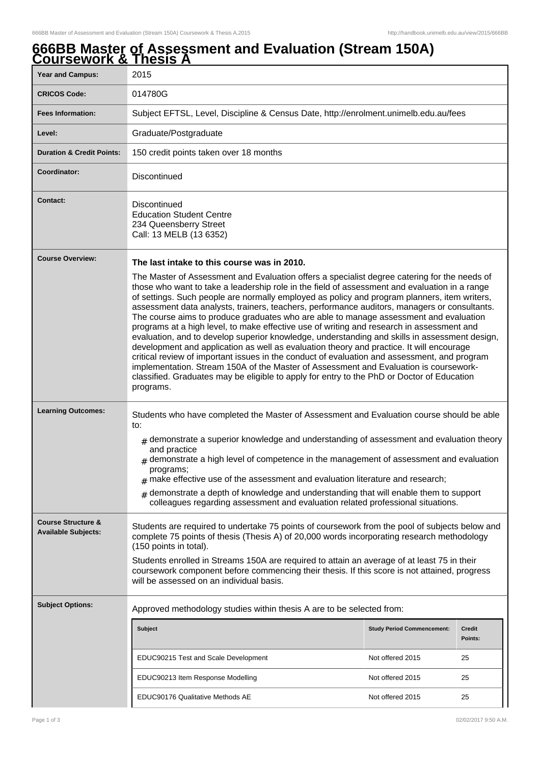## **666BB Master of Assessment and Evaluation (Stream 150A) Coursework & Thesis A**

| ---------                                                   | . <i>.</i>                                                                                                                                                                                                                                                                                                                                                                                                                                                                                                                                                                                                                                                                                                                                                                                                                                                                                                                                                                                                                                                                                                                          |                                   |                   |  |  |
|-------------------------------------------------------------|-------------------------------------------------------------------------------------------------------------------------------------------------------------------------------------------------------------------------------------------------------------------------------------------------------------------------------------------------------------------------------------------------------------------------------------------------------------------------------------------------------------------------------------------------------------------------------------------------------------------------------------------------------------------------------------------------------------------------------------------------------------------------------------------------------------------------------------------------------------------------------------------------------------------------------------------------------------------------------------------------------------------------------------------------------------------------------------------------------------------------------------|-----------------------------------|-------------------|--|--|
| <b>Year and Campus:</b>                                     | 2015                                                                                                                                                                                                                                                                                                                                                                                                                                                                                                                                                                                                                                                                                                                                                                                                                                                                                                                                                                                                                                                                                                                                |                                   |                   |  |  |
| <b>CRICOS Code:</b>                                         | 014780G                                                                                                                                                                                                                                                                                                                                                                                                                                                                                                                                                                                                                                                                                                                                                                                                                                                                                                                                                                                                                                                                                                                             |                                   |                   |  |  |
| <b>Fees Information:</b>                                    | Subject EFTSL, Level, Discipline & Census Date, http://enrolment.unimelb.edu.au/fees                                                                                                                                                                                                                                                                                                                                                                                                                                                                                                                                                                                                                                                                                                                                                                                                                                                                                                                                                                                                                                                |                                   |                   |  |  |
| Level:                                                      | Graduate/Postgraduate                                                                                                                                                                                                                                                                                                                                                                                                                                                                                                                                                                                                                                                                                                                                                                                                                                                                                                                                                                                                                                                                                                               |                                   |                   |  |  |
| <b>Duration &amp; Credit Points:</b>                        | 150 credit points taken over 18 months                                                                                                                                                                                                                                                                                                                                                                                                                                                                                                                                                                                                                                                                                                                                                                                                                                                                                                                                                                                                                                                                                              |                                   |                   |  |  |
| Coordinator:                                                | <b>Discontinued</b>                                                                                                                                                                                                                                                                                                                                                                                                                                                                                                                                                                                                                                                                                                                                                                                                                                                                                                                                                                                                                                                                                                                 |                                   |                   |  |  |
| <b>Contact:</b>                                             | Discontinued<br><b>Education Student Centre</b><br>234 Queensberry Street<br>Call: 13 MELB (13 6352)                                                                                                                                                                                                                                                                                                                                                                                                                                                                                                                                                                                                                                                                                                                                                                                                                                                                                                                                                                                                                                |                                   |                   |  |  |
| <b>Course Overview:</b>                                     | The last intake to this course was in 2010.<br>The Master of Assessment and Evaluation offers a specialist degree catering for the needs of<br>those who want to take a leadership role in the field of assessment and evaluation in a range<br>of settings. Such people are normally employed as policy and program planners, item writers,<br>assessment data analysts, trainers, teachers, performance auditors, managers or consultants.<br>The course aims to produce graduates who are able to manage assessment and evaluation<br>programs at a high level, to make effective use of writing and research in assessment and<br>evaluation, and to develop superior knowledge, understanding and skills in assessment design,<br>development and application as well as evaluation theory and practice. It will encourage<br>critical review of important issues in the conduct of evaluation and assessment, and program<br>implementation. Stream 150A of the Master of Assessment and Evaluation is coursework-<br>classified. Graduates may be eligible to apply for entry to the PhD or Doctor of Education<br>programs. |                                   |                   |  |  |
| <b>Learning Outcomes:</b>                                   | Students who have completed the Master of Assessment and Evaluation course should be able<br>to:<br>$#$ demonstrate a superior knowledge and understanding of assessment and evaluation theory<br>and practice<br>$_{\#}$ demonstrate a high level of competence in the management of assessment and evaluation<br>programs;<br>$#$ make effective use of the assessment and evaluation literature and research;<br>demonstrate a depth of knowledge and understanding that will enable them to support<br>#<br>colleagues regarding assessment and evaluation related professional situations.                                                                                                                                                                                                                                                                                                                                                                                                                                                                                                                                     |                                   |                   |  |  |
| <b>Course Structure &amp;</b><br><b>Available Subjects:</b> | Students are required to undertake 75 points of coursework from the pool of subjects below and<br>complete 75 points of thesis (Thesis A) of 20,000 words incorporating research methodology<br>(150 points in total).<br>Students enrolled in Streams 150A are required to attain an average of at least 75 in their<br>coursework component before commencing their thesis. If this score is not attained, progress<br>will be assessed on an individual basis.                                                                                                                                                                                                                                                                                                                                                                                                                                                                                                                                                                                                                                                                   |                                   |                   |  |  |
| <b>Subject Options:</b>                                     | Approved methodology studies within thesis A are to be selected from:                                                                                                                                                                                                                                                                                                                                                                                                                                                                                                                                                                                                                                                                                                                                                                                                                                                                                                                                                                                                                                                               |                                   |                   |  |  |
|                                                             | <b>Subject</b>                                                                                                                                                                                                                                                                                                                                                                                                                                                                                                                                                                                                                                                                                                                                                                                                                                                                                                                                                                                                                                                                                                                      | <b>Study Period Commencement:</b> | Credit<br>Points: |  |  |
|                                                             | EDUC90215 Test and Scale Development                                                                                                                                                                                                                                                                                                                                                                                                                                                                                                                                                                                                                                                                                                                                                                                                                                                                                                                                                                                                                                                                                                | Not offered 2015                  | 25                |  |  |
|                                                             | EDUC90213 Item Response Modelling                                                                                                                                                                                                                                                                                                                                                                                                                                                                                                                                                                                                                                                                                                                                                                                                                                                                                                                                                                                                                                                                                                   | Not offered 2015                  | 25                |  |  |
|                                                             | EDUC90176 Qualitative Methods AE                                                                                                                                                                                                                                                                                                                                                                                                                                                                                                                                                                                                                                                                                                                                                                                                                                                                                                                                                                                                                                                                                                    | Not offered 2015                  | 25                |  |  |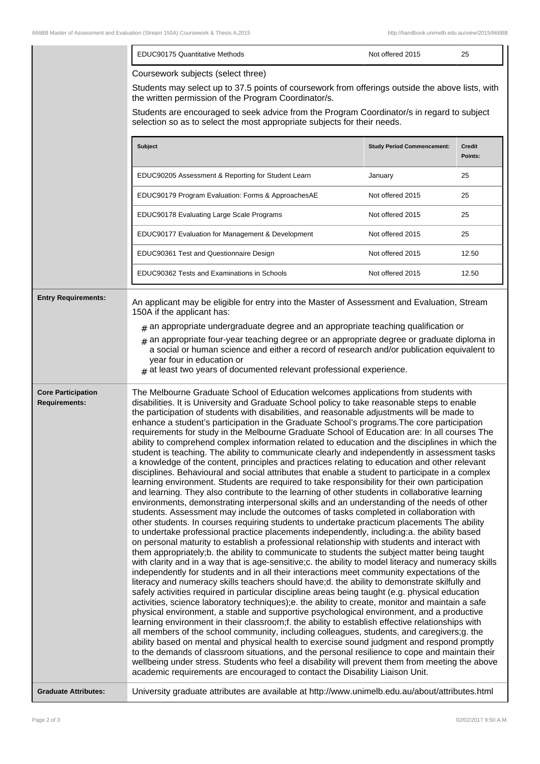|                                                   | EDUC90175 Quantitative Methods                                                                                                                                                                                                                                                                                                                                                                                                                                                                                                                                                                                                                                                                                                                                                                                                                                                                                                                                                                                                                                                                                                                                                                                                                                                                                                                                                                                                                                                                                                                                                                                                                                                                                                                                                                                                                                                                                                                                                                                                                                                                                                                                                                                                                                                                                                                                                                                                                                                                                                                                                                                                                                                                                                                                                                                                                                                           | Not offered 2015                  | 25                       |  |
|---------------------------------------------------|------------------------------------------------------------------------------------------------------------------------------------------------------------------------------------------------------------------------------------------------------------------------------------------------------------------------------------------------------------------------------------------------------------------------------------------------------------------------------------------------------------------------------------------------------------------------------------------------------------------------------------------------------------------------------------------------------------------------------------------------------------------------------------------------------------------------------------------------------------------------------------------------------------------------------------------------------------------------------------------------------------------------------------------------------------------------------------------------------------------------------------------------------------------------------------------------------------------------------------------------------------------------------------------------------------------------------------------------------------------------------------------------------------------------------------------------------------------------------------------------------------------------------------------------------------------------------------------------------------------------------------------------------------------------------------------------------------------------------------------------------------------------------------------------------------------------------------------------------------------------------------------------------------------------------------------------------------------------------------------------------------------------------------------------------------------------------------------------------------------------------------------------------------------------------------------------------------------------------------------------------------------------------------------------------------------------------------------------------------------------------------------------------------------------------------------------------------------------------------------------------------------------------------------------------------------------------------------------------------------------------------------------------------------------------------------------------------------------------------------------------------------------------------------------------------------------------------------------------------------------------------------|-----------------------------------|--------------------------|--|
|                                                   | Coursework subjects (select three)                                                                                                                                                                                                                                                                                                                                                                                                                                                                                                                                                                                                                                                                                                                                                                                                                                                                                                                                                                                                                                                                                                                                                                                                                                                                                                                                                                                                                                                                                                                                                                                                                                                                                                                                                                                                                                                                                                                                                                                                                                                                                                                                                                                                                                                                                                                                                                                                                                                                                                                                                                                                                                                                                                                                                                                                                                                       |                                   |                          |  |
|                                                   | Students may select up to 37.5 points of coursework from offerings outside the above lists, with<br>the written permission of the Program Coordinator/s.                                                                                                                                                                                                                                                                                                                                                                                                                                                                                                                                                                                                                                                                                                                                                                                                                                                                                                                                                                                                                                                                                                                                                                                                                                                                                                                                                                                                                                                                                                                                                                                                                                                                                                                                                                                                                                                                                                                                                                                                                                                                                                                                                                                                                                                                                                                                                                                                                                                                                                                                                                                                                                                                                                                                 |                                   |                          |  |
|                                                   | Students are encouraged to seek advice from the Program Coordinator/s in regard to subject<br>selection so as to select the most appropriate subjects for their needs.                                                                                                                                                                                                                                                                                                                                                                                                                                                                                                                                                                                                                                                                                                                                                                                                                                                                                                                                                                                                                                                                                                                                                                                                                                                                                                                                                                                                                                                                                                                                                                                                                                                                                                                                                                                                                                                                                                                                                                                                                                                                                                                                                                                                                                                                                                                                                                                                                                                                                                                                                                                                                                                                                                                   |                                   |                          |  |
|                                                   | Subject                                                                                                                                                                                                                                                                                                                                                                                                                                                                                                                                                                                                                                                                                                                                                                                                                                                                                                                                                                                                                                                                                                                                                                                                                                                                                                                                                                                                                                                                                                                                                                                                                                                                                                                                                                                                                                                                                                                                                                                                                                                                                                                                                                                                                                                                                                                                                                                                                                                                                                                                                                                                                                                                                                                                                                                                                                                                                  | <b>Study Period Commencement:</b> | <b>Credit</b><br>Points: |  |
|                                                   | EDUC90205 Assessment & Reporting for Student Learn                                                                                                                                                                                                                                                                                                                                                                                                                                                                                                                                                                                                                                                                                                                                                                                                                                                                                                                                                                                                                                                                                                                                                                                                                                                                                                                                                                                                                                                                                                                                                                                                                                                                                                                                                                                                                                                                                                                                                                                                                                                                                                                                                                                                                                                                                                                                                                                                                                                                                                                                                                                                                                                                                                                                                                                                                                       | January                           | 25                       |  |
|                                                   | EDUC90179 Program Evaluation: Forms & ApproachesAE                                                                                                                                                                                                                                                                                                                                                                                                                                                                                                                                                                                                                                                                                                                                                                                                                                                                                                                                                                                                                                                                                                                                                                                                                                                                                                                                                                                                                                                                                                                                                                                                                                                                                                                                                                                                                                                                                                                                                                                                                                                                                                                                                                                                                                                                                                                                                                                                                                                                                                                                                                                                                                                                                                                                                                                                                                       | Not offered 2015                  | 25                       |  |
|                                                   | EDUC90178 Evaluating Large Scale Programs                                                                                                                                                                                                                                                                                                                                                                                                                                                                                                                                                                                                                                                                                                                                                                                                                                                                                                                                                                                                                                                                                                                                                                                                                                                                                                                                                                                                                                                                                                                                                                                                                                                                                                                                                                                                                                                                                                                                                                                                                                                                                                                                                                                                                                                                                                                                                                                                                                                                                                                                                                                                                                                                                                                                                                                                                                                | Not offered 2015                  | 25                       |  |
|                                                   | EDUC90177 Evaluation for Management & Development                                                                                                                                                                                                                                                                                                                                                                                                                                                                                                                                                                                                                                                                                                                                                                                                                                                                                                                                                                                                                                                                                                                                                                                                                                                                                                                                                                                                                                                                                                                                                                                                                                                                                                                                                                                                                                                                                                                                                                                                                                                                                                                                                                                                                                                                                                                                                                                                                                                                                                                                                                                                                                                                                                                                                                                                                                        | Not offered 2015                  | 25                       |  |
|                                                   | EDUC90361 Test and Questionnaire Design                                                                                                                                                                                                                                                                                                                                                                                                                                                                                                                                                                                                                                                                                                                                                                                                                                                                                                                                                                                                                                                                                                                                                                                                                                                                                                                                                                                                                                                                                                                                                                                                                                                                                                                                                                                                                                                                                                                                                                                                                                                                                                                                                                                                                                                                                                                                                                                                                                                                                                                                                                                                                                                                                                                                                                                                                                                  | Not offered 2015                  | 12.50                    |  |
|                                                   | EDUC90362 Tests and Examinations in Schools                                                                                                                                                                                                                                                                                                                                                                                                                                                                                                                                                                                                                                                                                                                                                                                                                                                                                                                                                                                                                                                                                                                                                                                                                                                                                                                                                                                                                                                                                                                                                                                                                                                                                                                                                                                                                                                                                                                                                                                                                                                                                                                                                                                                                                                                                                                                                                                                                                                                                                                                                                                                                                                                                                                                                                                                                                              | Not offered 2015                  | 12.50                    |  |
| <b>Entry Requirements:</b>                        | An applicant may be eligible for entry into the Master of Assessment and Evaluation, Stream<br>150A if the applicant has:                                                                                                                                                                                                                                                                                                                                                                                                                                                                                                                                                                                                                                                                                                                                                                                                                                                                                                                                                                                                                                                                                                                                                                                                                                                                                                                                                                                                                                                                                                                                                                                                                                                                                                                                                                                                                                                                                                                                                                                                                                                                                                                                                                                                                                                                                                                                                                                                                                                                                                                                                                                                                                                                                                                                                                |                                   |                          |  |
|                                                   | $_{\#}$ an appropriate undergraduate degree and an appropriate teaching qualification or                                                                                                                                                                                                                                                                                                                                                                                                                                                                                                                                                                                                                                                                                                                                                                                                                                                                                                                                                                                                                                                                                                                                                                                                                                                                                                                                                                                                                                                                                                                                                                                                                                                                                                                                                                                                                                                                                                                                                                                                                                                                                                                                                                                                                                                                                                                                                                                                                                                                                                                                                                                                                                                                                                                                                                                                 |                                   |                          |  |
|                                                   | an appropriate four-year teaching degree or an appropriate degree or graduate diploma in<br>a social or human science and either a record of research and/or publication equivalent to<br>year four in education or<br>$#$ at least two years of documented relevant professional experience.                                                                                                                                                                                                                                                                                                                                                                                                                                                                                                                                                                                                                                                                                                                                                                                                                                                                                                                                                                                                                                                                                                                                                                                                                                                                                                                                                                                                                                                                                                                                                                                                                                                                                                                                                                                                                                                                                                                                                                                                                                                                                                                                                                                                                                                                                                                                                                                                                                                                                                                                                                                            |                                   |                          |  |
| <b>Core Participation</b><br><b>Requirements:</b> | The Melbourne Graduate School of Education welcomes applications from students with<br>disabilities. It is University and Graduate School policy to take reasonable steps to enable<br>the participation of students with disabilities, and reasonable adjustments will be made to<br>enhance a student's participation in the Graduate School's programs. The core participation<br>requirements for study in the Melbourne Graduate School of Education are: In all courses The<br>ability to comprehend complex information related to education and the disciplines in which the<br>student is teaching. The ability to communicate clearly and independently in assessment tasks<br>a knowledge of the content, principles and practices relating to education and other relevant<br>disciplines. Behavioural and social attributes that enable a student to participate in a complex<br>learning environment. Students are required to take responsibility for their own participation<br>and learning. They also contribute to the learning of other students in collaborative learning<br>environments, demonstrating interpersonal skills and an understanding of the needs of other<br>students. Assessment may include the outcomes of tasks completed in collaboration with<br>other students. In courses requiring students to undertake practicum placements The ability<br>to undertake professional practice placements independently, including:a. the ability based<br>on personal maturity to establish a professional relationship with students and interact with<br>them appropriately;b. the ability to communicate to students the subject matter being taught<br>with clarity and in a way that is age-sensitive;c. the ability to model literacy and numeracy skills<br>independently for students and in all their interactions meet community expectations of the<br>literacy and numeracy skills teachers should have;d. the ability to demonstrate skilfully and<br>safely activities required in particular discipline areas being taught (e.g. physical education<br>activities, science laboratory techniques);e. the ability to create, monitor and maintain a safe<br>physical environment, a stable and supportive psychological environment, and a productive<br>learning environment in their classroom;f. the ability to establish effective relationships with<br>all members of the school community, including colleagues, students, and caregivers;g. the<br>ability based on mental and physical health to exercise sound judgment and respond promptly<br>to the demands of classroom situations, and the personal resilience to cope and maintain their<br>wellbeing under stress. Students who feel a disability will prevent them from meeting the above<br>academic requirements are encouraged to contact the Disability Liaison Unit. |                                   |                          |  |
| <b>Graduate Attributes:</b>                       | University graduate attributes are available at http://www.unimelb.edu.au/about/attributes.html                                                                                                                                                                                                                                                                                                                                                                                                                                                                                                                                                                                                                                                                                                                                                                                                                                                                                                                                                                                                                                                                                                                                                                                                                                                                                                                                                                                                                                                                                                                                                                                                                                                                                                                                                                                                                                                                                                                                                                                                                                                                                                                                                                                                                                                                                                                                                                                                                                                                                                                                                                                                                                                                                                                                                                                          |                                   |                          |  |

 $\overline{\phantom{a}}$